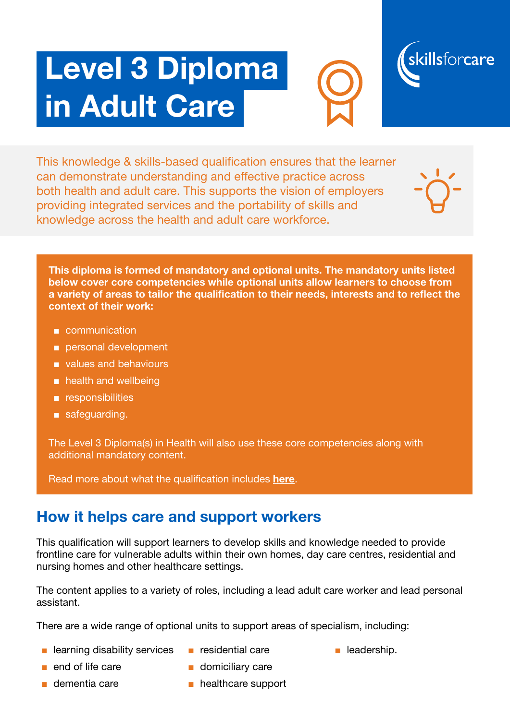# Level 3 Diploma in Adult Care





This knowledge & skills-based qualification ensures that the learner can demonstrate understanding and effective practice across both health and adult care. This supports the vision of employers providing integrated services and the portability of skills and knowledge across the health and adult care workforce.

This diploma is formed of mandatory and optional units. The mandatory units listed below cover core competencies while optional units allow learners to choose from a variety of areas to tailor the qualification to their needs, interests and to reflect the context of their work:

- communication
- personal development
- values and behaviours
- health and wellbeing
- responsibilities
- safeguarding.

The Level 3 Diploma(s) in Health will also use these core competencies along with additional mandatory content.

Read more about what the qualification includes [here](https://www.skillsforcare.org.uk/Documents/Learning-and-development/Qualifications/New-Quals-framework/Specification-for-Level-3-Diploma-in-Adult-Care.pdf).

#### How it helps care and support workers

This qualification will support learners to develop skills and knowledge needed to provide frontline care for vulnerable adults within their own homes, day care centres, residential and nursing homes and other healthcare settings.

The content applies to a variety of roles, including a lead adult care worker and lead personal assistant.

There are a wide range of optional units to support areas of specialism, including:

- learning disability services
- residential care
- leadership.

- end of life care
- dementia care
- domiciliary care
- healthcare support